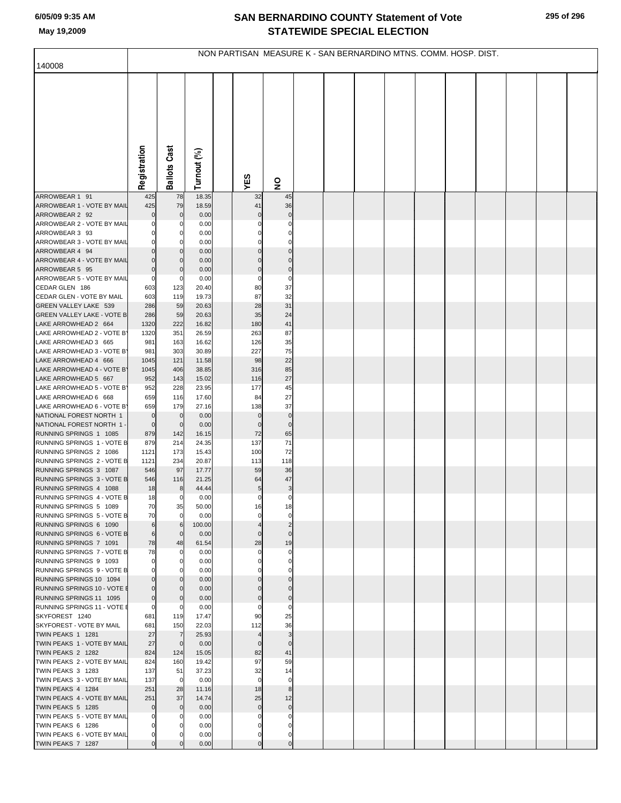## **SAN BERNARDINO COUNTY Statement of Vote May 19,2009 STATEWIDE SPECIAL ELECTION**

| 140008                                                    | NON PARTISAN MEASURE K - SAN BERNARDINO MTNS. COMM. HOSP. DIST. |                       |                |  |                       |                         |  |  |  |  |  |  |  |  |  |
|-----------------------------------------------------------|-----------------------------------------------------------------|-----------------------|----------------|--|-----------------------|-------------------------|--|--|--|--|--|--|--|--|--|
|                                                           |                                                                 |                       |                |  |                       |                         |  |  |  |  |  |  |  |  |  |
|                                                           |                                                                 |                       |                |  |                       |                         |  |  |  |  |  |  |  |  |  |
|                                                           | Registration                                                    | <b>Ballots Cast</b>   | Turnout (%)    |  |                       |                         |  |  |  |  |  |  |  |  |  |
|                                                           |                                                                 |                       |                |  | YES                   | $\overline{\mathbf{z}}$ |  |  |  |  |  |  |  |  |  |
| ARROWBEAR 1 91                                            | 425                                                             | 78                    | 18.35          |  | 32                    | 45                      |  |  |  |  |  |  |  |  |  |
| ARROWBEAR 1 - VOTE BY MAIL<br>ARROWBEAR 2 92              | 425<br>$\Omega$                                                 | 79<br>0               | 18.59<br>0.00  |  | 41<br>$\Omega$        | 36<br>$\mathbf 0$       |  |  |  |  |  |  |  |  |  |
| ARROWBEAR 2 - VOTE BY MAIL                                |                                                                 | 0                     | 0.00           |  |                       |                         |  |  |  |  |  |  |  |  |  |
| ARROWBEAR 3 93                                            |                                                                 | 0                     | 0.00           |  |                       |                         |  |  |  |  |  |  |  |  |  |
| ARROWBEAR 3 - VOTE BY MAIL<br>ARROWBEAR 4 94              | $\Omega$<br>$\overline{0}$                                      | 0<br>$\mathbf 0$      | 0.00<br>0.00   |  |                       | $\mathbf 0$             |  |  |  |  |  |  |  |  |  |
| ARROWBEAR 4 - VOTE BY MAIL                                | 0                                                               | $\Omega$              | 0.00           |  |                       |                         |  |  |  |  |  |  |  |  |  |
| ARROWBEAR 5 95                                            | $\mathbf 0$                                                     | 0                     | 0.00           |  | 0                     | $\bf 0$                 |  |  |  |  |  |  |  |  |  |
| ARROWBEAR 5 - VOTE BY MAIL<br>CEDAR GLEN 186              | $\mathbf{0}$<br>603                                             | 0<br>123              | 0.00<br>20.40  |  | 0<br>80               | $\mathbf 0$<br>37       |  |  |  |  |  |  |  |  |  |
| CEDAR GLEN - VOTE BY MAIL                                 | 603                                                             | 119                   | 19.73          |  | 87                    | 32                      |  |  |  |  |  |  |  |  |  |
| GREEN VALLEY LAKE 539                                     | 286                                                             | 59                    | 20.63          |  | 28                    | 31                      |  |  |  |  |  |  |  |  |  |
| <b>GREEN VALLEY LAKE - VOTE B</b><br>LAKE ARROWHEAD 2 664 | 286                                                             | 59                    | 20.63          |  | 35                    | 24                      |  |  |  |  |  |  |  |  |  |
| LAKE ARROWHEAD 2 - VOTE B'                                | 1320<br>1320                                                    | 222<br>351            | 16.82<br>26.59 |  | 180<br>263            | 41<br>87                |  |  |  |  |  |  |  |  |  |
| LAKE ARROWHEAD 3 665                                      | 981                                                             | 163                   | 16.62          |  | 126                   | 35                      |  |  |  |  |  |  |  |  |  |
| LAKE ARROWHEAD 3 - VOTE B'                                | 981                                                             | 303                   | 30.89          |  | 227                   | 75                      |  |  |  |  |  |  |  |  |  |
| LAKE ARROWHEAD 4 666<br>LAKE ARROWHEAD 4 - VOTE B'        | 1045<br>1045                                                    | 121<br>406            | 11.58<br>38.85 |  | 98<br>316             | 22<br>85                |  |  |  |  |  |  |  |  |  |
| LAKE ARROWHEAD 5 667                                      | 952                                                             | 143                   | 15.02          |  | 116                   | 27                      |  |  |  |  |  |  |  |  |  |
| LAKE ARROWHEAD 5 - VOTE B'                                | 952                                                             | 228                   | 23.95          |  | 177                   | 45                      |  |  |  |  |  |  |  |  |  |
| LAKE ARROWHEAD 6 668<br>LAKE ARROWHEAD 6 - VOTE B'        | 659<br>659                                                      | 116<br>179            | 17.60<br>27.16 |  | 84<br>138             | 27<br>37                |  |  |  |  |  |  |  |  |  |
| NATIONAL FOREST NORTH 1                                   | $\mathbf 0$                                                     | $\mathbf 0$           | 0.00           |  | $\bf{0}$              | $\pmb{0}$               |  |  |  |  |  |  |  |  |  |
| NATIONAL FOREST NORTH 1                                   | $\overline{0}$                                                  | $\mathbf 0$           | 0.00           |  | $\mathbf 0$           | $\bf 0$                 |  |  |  |  |  |  |  |  |  |
| RUNNING SPRINGS 1 1085<br>RUNNING SPRINGS 1 - VOTE B      | 879<br>879                                                      | 142<br>214            | 16.15<br>24.35 |  | 72<br>137             | 65<br>71                |  |  |  |  |  |  |  |  |  |
| RUNNING SPRINGS 2 1086                                    | 1121                                                            | 173                   | 15.43          |  | 100                   | 72                      |  |  |  |  |  |  |  |  |  |
| RUNNING SPRINGS 2 - VOTE B                                | 1121                                                            | 234                   | 20.87          |  | 113                   | 118                     |  |  |  |  |  |  |  |  |  |
| RUNNING SPRINGS 3 1087<br>RUNNING SPRINGS 3 - VOTE B      | 546<br>546                                                      | 97                    | 17.77<br>21.25 |  | 59<br>64              | 36<br>47                |  |  |  |  |  |  |  |  |  |
| RUNNING SPRINGS 4 1088                                    | 18                                                              | 116<br>8              | 44.44          |  | 5                     | 3                       |  |  |  |  |  |  |  |  |  |
| RUNNING SPRINGS 4 - VOTE B                                | 18                                                              | 0                     | 0.00           |  | 0                     | $\Omega$                |  |  |  |  |  |  |  |  |  |
| RUNNING SPRINGS 5 1089                                    | 70                                                              | 35                    | 50.00          |  | 16                    |                         |  |  |  |  |  |  |  |  |  |
| RUNNING SPRINGS 5 - VOTE B<br>RUNNING SPRINGS 6 1090      | 70<br>6                                                         | $\mathbf 0$<br>6      | 0.00<br>100.00 |  | 0                     | $\mathbf 0$             |  |  |  |  |  |  |  |  |  |
| RUNNING SPRINGS 6 - VOTE B                                | 6                                                               | $\mathbf 0$           | 0.00           |  | 0                     | $\Omega$                |  |  |  |  |  |  |  |  |  |
| RUNNING SPRINGS 7 1091                                    | 78                                                              | 48                    | 61.54          |  | 28                    | 19                      |  |  |  |  |  |  |  |  |  |
| RUNNING SPRINGS 7 - VOTE B<br>RUNNING SPRINGS 9 1093      | 78<br>0                                                         | 0<br>0                | 0.00<br>0.00   |  |                       |                         |  |  |  |  |  |  |  |  |  |
| RUNNING SPRINGS 9 - VOTE B                                |                                                                 |                       | 0.00           |  |                       |                         |  |  |  |  |  |  |  |  |  |
| RUNNING SPRINGS 10 1094                                   | $\overline{0}$                                                  | 0                     | 0.00           |  |                       |                         |  |  |  |  |  |  |  |  |  |
| RUNNING SPRINGS 10 - VOTE I<br>RUNNING SPRINGS 11 1095    | $\Omega$<br>$\mathbf 0$                                         | 0<br>$\Omega$         | 0.00<br>0.00   |  |                       | 0                       |  |  |  |  |  |  |  |  |  |
| RUNNING SPRINGS 11 - VOTE I                               | 0                                                               | 0                     | 0.00           |  |                       |                         |  |  |  |  |  |  |  |  |  |
| SKYFOREST 1240                                            | 681                                                             | 119                   | 17.47          |  | 90                    | 25                      |  |  |  |  |  |  |  |  |  |
| SKYFOREST - VOTE BY MAIL<br>TWIN PEAKS 1 1281             | 681<br>27                                                       | 150<br>$\overline{7}$ | 22.03<br>25.93 |  | 112<br>$\overline{A}$ | 36<br>3                 |  |  |  |  |  |  |  |  |  |
| TWIN PEAKS 1 - VOTE BY MAIL                               | 27                                                              | $\mathbf 0$           | 0.00           |  | $\Omega$              | $\Omega$                |  |  |  |  |  |  |  |  |  |
| TWIN PEAKS 2 1282                                         | 824                                                             | 124                   | 15.05          |  | 82                    | 41                      |  |  |  |  |  |  |  |  |  |
| TWIN PEAKS 2 - VOTE BY MAIL<br>TWIN PEAKS 3 1283          | 824<br>137                                                      | 160<br>51             | 19.42<br>37.23 |  | 97<br>32              | 59<br>14                |  |  |  |  |  |  |  |  |  |
| TWIN PEAKS 3 - VOTE BY MAIL                               | 137                                                             | $\overline{0}$        | 0.00           |  | $\mathbf 0$           | $\mathbf 0$             |  |  |  |  |  |  |  |  |  |
| TWIN PEAKS 4 1284                                         | 251                                                             | 28                    | 11.16          |  | 18                    | 8                       |  |  |  |  |  |  |  |  |  |
| TWIN PEAKS 4 - VOTE BY MAIL<br>TWIN PEAKS 5 1285          | 251<br>$\mathbf 0$                                              | 37<br>$\mathbf 0$     | 14.74<br>0.00  |  | 25<br>$\mathbf 0$     | 12<br>$\mathbf 0$       |  |  |  |  |  |  |  |  |  |
| TWIN PEAKS 5 - VOTE BY MAIL                               |                                                                 |                       | 0.00           |  |                       |                         |  |  |  |  |  |  |  |  |  |
| TWIN PEAKS 6 1286                                         |                                                                 |                       | 0.00           |  |                       |                         |  |  |  |  |  |  |  |  |  |
| TWIN PEAKS 6 - VOTE BY MAIL                               | 0<br>$\overline{0}$                                             |                       | 0.00           |  | 0<br>$\mathbf 0$      | $\overline{0}$          |  |  |  |  |  |  |  |  |  |
| TWIN PEAKS 7 1287                                         |                                                                 |                       | 0.00           |  |                       |                         |  |  |  |  |  |  |  |  |  |